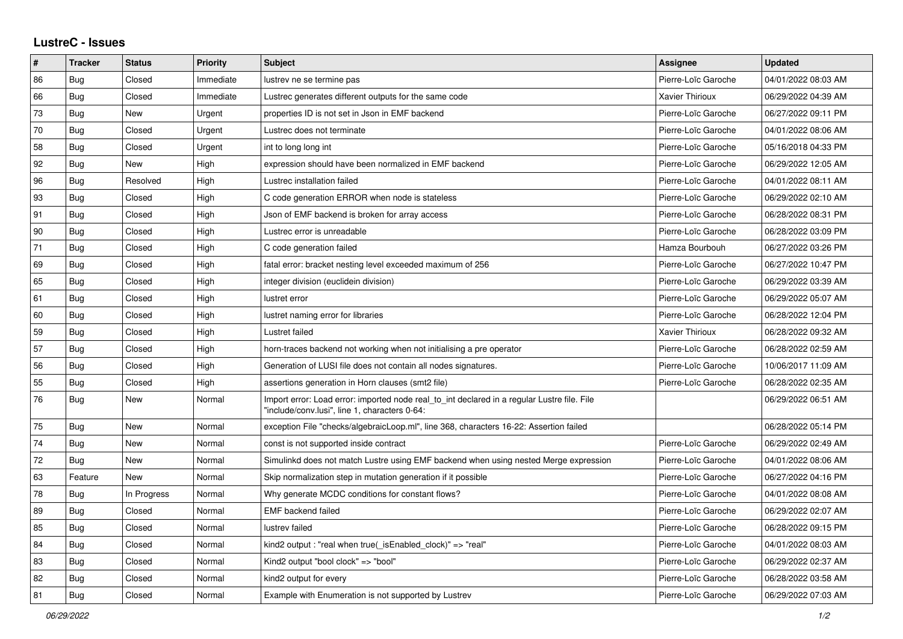## **LustreC - Issues**

| ∦  | <b>Tracker</b> | <b>Status</b> | Priority  | <b>Subject</b>                                                                                                                               | Assignee               | <b>Updated</b>      |
|----|----------------|---------------|-----------|----------------------------------------------------------------------------------------------------------------------------------------------|------------------------|---------------------|
| 86 | Bug            | Closed        | Immediate | lustrev ne se termine pas                                                                                                                    | Pierre-Loïc Garoche    | 04/01/2022 08:03 AM |
| 66 | Bug            | Closed        | Immediate | Lustrec generates different outputs for the same code                                                                                        | <b>Xavier Thirioux</b> | 06/29/2022 04:39 AM |
| 73 | Bug            | New           | Urgent    | properties ID is not set in Json in EMF backend                                                                                              | Pierre-Loïc Garoche    | 06/27/2022 09:11 PM |
| 70 | Bug            | Closed        | Urgent    | Lustrec does not terminate                                                                                                                   | Pierre-Loïc Garoche    | 04/01/2022 08:06 AM |
| 58 | Bug            | Closed        | Urgent    | int to long long int                                                                                                                         | Pierre-Loïc Garoche    | 05/16/2018 04:33 PM |
| 92 | Bug            | New           | High      | expression should have been normalized in EMF backend                                                                                        | Pierre-Loïc Garoche    | 06/29/2022 12:05 AM |
| 96 | Bug            | Resolved      | High      | Lustrec installation failed                                                                                                                  | Pierre-Loïc Garoche    | 04/01/2022 08:11 AM |
| 93 | <b>Bug</b>     | Closed        | High      | C code generation ERROR when node is stateless                                                                                               | Pierre-Loïc Garoche    | 06/29/2022 02:10 AM |
| 91 | <b>Bug</b>     | Closed        | High      | Json of EMF backend is broken for array access                                                                                               | Pierre-Loïc Garoche    | 06/28/2022 08:31 PM |
| 90 | <b>Bug</b>     | Closed        | High      | Lustrec error is unreadable                                                                                                                  | Pierre-Loïc Garoche    | 06/28/2022 03:09 PM |
| 71 | Bug            | Closed        | High      | C code generation failed                                                                                                                     | Hamza Bourbouh         | 06/27/2022 03:26 PM |
| 69 | Bug            | Closed        | High      | fatal error: bracket nesting level exceeded maximum of 256                                                                                   | Pierre-Loïc Garoche    | 06/27/2022 10:47 PM |
| 65 | Bug            | Closed        | High      | integer division (euclidein division)                                                                                                        | Pierre-Loïc Garoche    | 06/29/2022 03:39 AM |
| 61 | Bug            | Closed        | High      | lustret error                                                                                                                                | Pierre-Loïc Garoche    | 06/29/2022 05:07 AM |
| 60 | <b>Bug</b>     | Closed        | High      | lustret naming error for libraries                                                                                                           | Pierre-Loïc Garoche    | 06/28/2022 12:04 PM |
| 59 | <b>Bug</b>     | Closed        | High      | Lustret failed                                                                                                                               | Xavier Thirioux        | 06/28/2022 09:32 AM |
| 57 | Bug            | Closed        | High      | horn-traces backend not working when not initialising a pre operator                                                                         | Pierre-Loïc Garoche    | 06/28/2022 02:59 AM |
| 56 | <b>Bug</b>     | Closed        | High      | Generation of LUSI file does not contain all nodes signatures.                                                                               | Pierre-Loïc Garoche    | 10/06/2017 11:09 AM |
| 55 | <b>Bug</b>     | Closed        | High      | assertions generation in Horn clauses (smt2 file)                                                                                            | Pierre-Loïc Garoche    | 06/28/2022 02:35 AM |
| 76 | Bug            | New           | Normal    | Import error: Load error: imported node real to int declared in a regular Lustre file. File<br>"include/conv.lusi", line 1, characters 0-64: |                        | 06/29/2022 06:51 AM |
| 75 | Bug            | <b>New</b>    | Normal    | exception File "checks/algebraicLoop.ml", line 368, characters 16-22: Assertion failed                                                       |                        | 06/28/2022 05:14 PM |
| 74 | Bug            | New           | Normal    | const is not supported inside contract                                                                                                       | Pierre-Loïc Garoche    | 06/29/2022 02:49 AM |
| 72 | Bug            | New           | Normal    | Simulinkd does not match Lustre using EMF backend when using nested Merge expression                                                         | Pierre-Loïc Garoche    | 04/01/2022 08:06 AM |
| 63 | Feature        | New           | Normal    | Skip normalization step in mutation generation if it possible                                                                                | Pierre-Loïc Garoche    | 06/27/2022 04:16 PM |
| 78 | Bug            | In Progress   | Normal    | Why generate MCDC conditions for constant flows?                                                                                             | Pierre-Loïc Garoche    | 04/01/2022 08:08 AM |
| 89 | <b>Bug</b>     | Closed        | Normal    | <b>EMF</b> backend failed                                                                                                                    | Pierre-Loïc Garoche    | 06/29/2022 02:07 AM |
| 85 | <b>Bug</b>     | Closed        | Normal    | lustrev failed                                                                                                                               | Pierre-Loïc Garoche    | 06/28/2022 09:15 PM |
| 84 | Bug            | Closed        | Normal    | kind2 output : "real when true( isEnabled clock)" => "real"                                                                                  | Pierre-Loïc Garoche    | 04/01/2022 08:03 AM |
| 83 | <b>Bug</b>     | Closed        | Normal    | Kind2 output "bool clock" => "bool"                                                                                                          | Pierre-Loïc Garoche    | 06/29/2022 02:37 AM |
| 82 | <b>Bug</b>     | Closed        | Normal    | kind2 output for every                                                                                                                       | Pierre-Loïc Garoche    | 06/28/2022 03:58 AM |
| 81 | <b>Bug</b>     | Closed        | Normal    | Example with Enumeration is not supported by Lustrev                                                                                         | Pierre-Loïc Garoche    | 06/29/2022 07:03 AM |